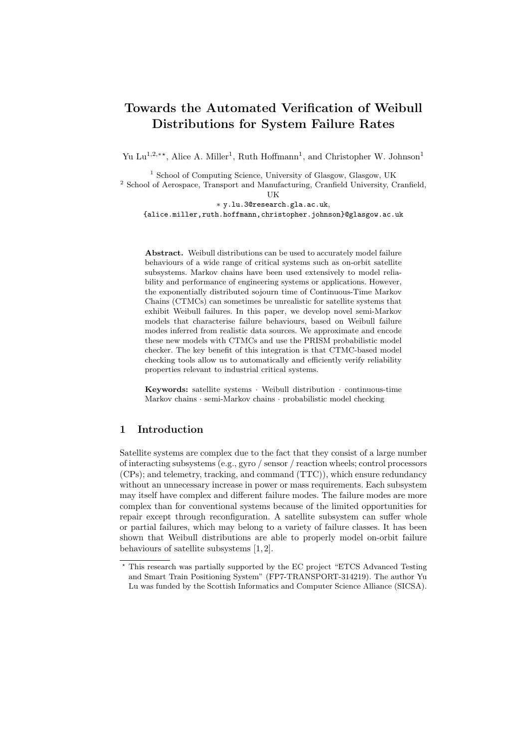# Towards the Automated Verification of Weibull Distributions for System Failure Rates

Yu Lu<sup>1,2,∗</sup>\*, Alice A. Miller<sup>1</sup>, Ruth Hoffmann<sup>1</sup>, and Christopher W. Johnson<sup>1</sup>

<sup>1</sup> School of Computing Science, University of Glasgow, Glasgow, UK <sup>2</sup> School of Aerospace, Transport and Manufacturing, Cranfield University, Cranfield, UK

∗ y.lu.3@research.gla.ac.uk, {alice.miller,ruth.hoffmann,christopher.johnson}@glasgow.ac.uk

Abstract. Weibull distributions can be used to accurately model failure behaviours of a wide range of critical systems such as on-orbit satellite subsystems. Markov chains have been used extensively to model reliability and performance of engineering systems or applications. However, the exponentially distributed sojourn time of Continuous-Time Markov Chains (CTMCs) can sometimes be unrealistic for satellite systems that exhibit Weibull failures. In this paper, we develop novel semi-Markov models that characterise failure behaviours, based on Weibull failure modes inferred from realistic data sources. We approximate and encode these new models with CTMCs and use the PRISM probabilistic model checker. The key benefit of this integration is that CTMC-based model checking tools allow us to automatically and efficiently verify reliability properties relevant to industrial critical systems.

Keywords: satellite systems · Weibull distribution · continuous-time Markov chains · semi-Markov chains · probabilistic model checking

## 1 Introduction

Satellite systems are complex due to the fact that they consist of a large number of interacting subsystems (e.g., gyro / sensor / reaction wheels; control processors (CPs); and telemetry, tracking, and command (TTC)), which ensure redundancy without an unnecessary increase in power or mass requirements. Each subsystem may itself have complex and different failure modes. The failure modes are more complex than for conventional systems because of the limited opportunities for repair except through reconfiguration. A satellite subsystem can suffer whole or partial failures, which may belong to a variety of failure classes. It has been shown that Weibull distributions are able to properly model on-orbit failure behaviours of satellite subsystems [1, 2].

<sup>?</sup> This research was partially supported by the EC project "ETCS Advanced Testing and Smart Train Positioning System" (FP7-TRANSPORT-314219). The author Yu Lu was funded by the Scottish Informatics and Computer Science Alliance (SICSA).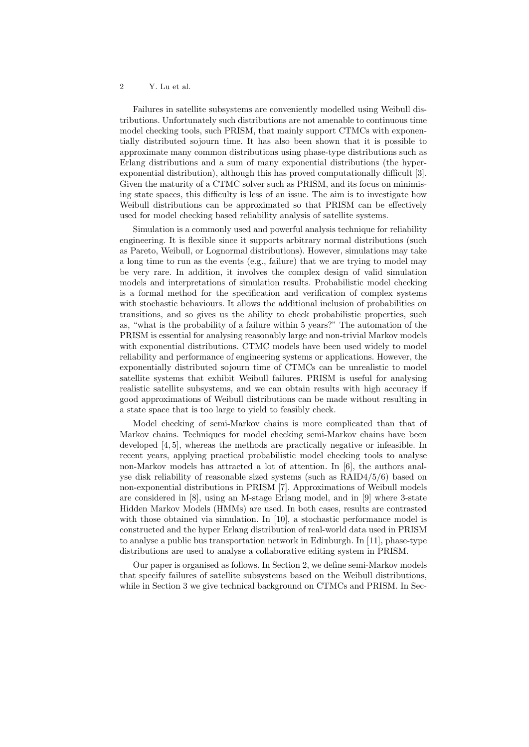Failures in satellite subsystems are conveniently modelled using Weibull distributions. Unfortunately such distributions are not amenable to continuous time model checking tools, such PRISM, that mainly support CTMCs with exponentially distributed sojourn time. It has also been shown that it is possible to approximate many common distributions using phase-type distributions such as Erlang distributions and a sum of many exponential distributions (the hyperexponential distribution), although this has proved computationally difficult [3]. Given the maturity of a CTMC solver such as PRISM, and its focus on minimising state spaces, this difficulty is less of an issue. The aim is to investigate how Weibull distributions can be approximated so that PRISM can be effectively used for model checking based reliability analysis of satellite systems.

Simulation is a commonly used and powerful analysis technique for reliability engineering. It is flexible since it supports arbitrary normal distributions (such as Pareto, Weibull, or Lognormal distributions). However, simulations may take a long time to run as the events (e.g., failure) that we are trying to model may be very rare. In addition, it involves the complex design of valid simulation models and interpretations of simulation results. Probabilistic model checking is a formal method for the specification and verification of complex systems with stochastic behaviours. It allows the additional inclusion of probabilities on transitions, and so gives us the ability to check probabilistic properties, such as, "what is the probability of a failure within 5 years?" The automation of the PRISM is essential for analysing reasonably large and non-trivial Markov models with exponential distributions. CTMC models have been used widely to model reliability and performance of engineering systems or applications. However, the exponentially distributed sojourn time of CTMCs can be unrealistic to model satellite systems that exhibit Weibull failures. PRISM is useful for analysing realistic satellite subsystems, and we can obtain results with high accuracy if good approximations of Weibull distributions can be made without resulting in a state space that is too large to yield to feasibly check.

Model checking of semi-Markov chains is more complicated than that of Markov chains. Techniques for model checking semi-Markov chains have been developed [4, 5], whereas the methods are practically negative or infeasible. In recent years, applying practical probabilistic model checking tools to analyse non-Markov models has attracted a lot of attention. In [6], the authors analyse disk reliability of reasonable sized systems (such as RAID4/5/6) based on non-exponential distributions in PRISM [7]. Approximations of Weibull models are considered in [8], using an M-stage Erlang model, and in [9] where 3-state Hidden Markov Models (HMMs) are used. In both cases, results are contrasted with those obtained via simulation. In [10], a stochastic performance model is constructed and the hyper Erlang distribution of real-world data used in PRISM to analyse a public bus transportation network in Edinburgh. In [11], phase-type distributions are used to analyse a collaborative editing system in PRISM.

Our paper is organised as follows. In Section 2, we define semi-Markov models that specify failures of satellite subsystems based on the Weibull distributions, while in Section 3 we give technical background on CTMCs and PRISM. In Sec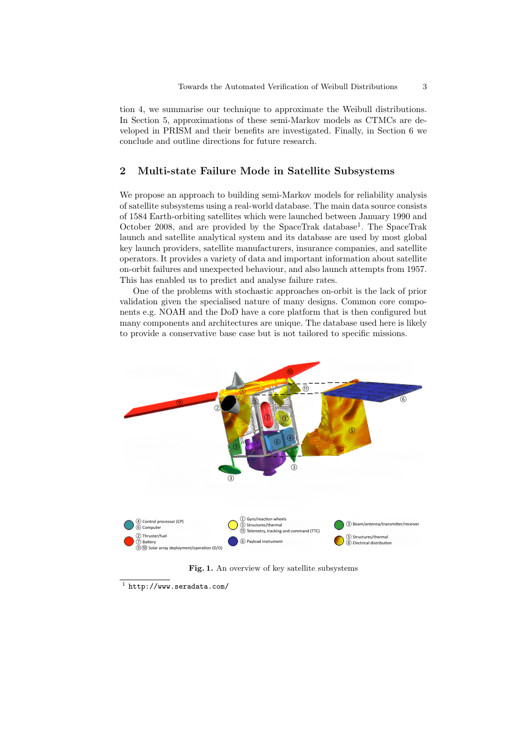tion 4, we summarise our technique to approximate the Weibull distributions. In Section 5, approximations of these semi-Markov models as CTMCs are developed in PRISM and their benefits are investigated. Finally, in Section 6 we conclude and outline directions for future research.

# 2 Multi-state Failure Mode in Satellite Subsystems

We propose an approach to building semi-Markov models for reliability analysis of satellite subsystems using a real-world database. The main data source consists of 1584 Earth-orbiting satellites which were launched between January 1990 and October 2008, and are provided by the SpaceTrak database<sup>1</sup>. The SpaceTrak launch and satellite analytical system and its database are used by most global key launch providers, satellite manufacturers, insurance companies, and satellite operators. It provides a variety of data and important information about satellite on-orbit failures and unexpected behaviour, and also launch attempts from 1957. This has enabled us to predict and analyse failure rates.

One of the problems with stochastic approaches on-orbit is the lack of prior validation given the specialised nature of many designs. Common core components e.g. NOAH and the DoD have a core platform that is then configured but many components and architectures are unique. The database used here is likely to provide a conservative base case but is not tailored to specific missions.



Fig. 1. An overview of key satellite subsystems

 $^1$  http://www.seradata.com/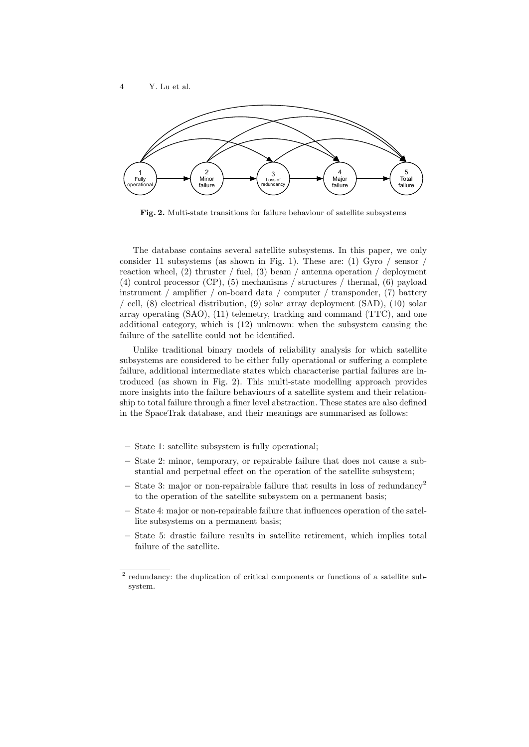

Fig. 2. Multi-state transitions for failure behaviour of satellite subsystems

The database contains several satellite subsystems. In this paper, we only consider 11 subsystems (as shown in Fig. 1). These are: (1) Gyro / sensor / reaction wheel, (2) thruster / fuel, (3) beam / antenna operation / deployment (4) control processor (CP), (5) mechanisms / structures / thermal, (6) payload instrument / amplifier / on-board data / computer / transponder, (7) battery / cell, (8) electrical distribution, (9) solar array deployment (SAD), (10) solar array operating (SAO), (11) telemetry, tracking and command (TTC), and one additional category, which is (12) unknown: when the subsystem causing the failure of the satellite could not be identified.

Unlike traditional binary models of reliability analysis for which satellite subsystems are considered to be either fully operational or suffering a complete failure, additional intermediate states which characterise partial failures are introduced (as shown in Fig. 2). This multi-state modelling approach provides more insights into the failure behaviours of a satellite system and their relationship to total failure through a finer level abstraction. These states are also defined in the SpaceTrak database, and their meanings are summarised as follows:

- State 1: satellite subsystem is fully operational;
- State 2: minor, temporary, or repairable failure that does not cause a substantial and perpetual effect on the operation of the satellite subsystem;
- State 3: major or non-repairable failure that results in loss of redundancy<sup>2</sup> to the operation of the satellite subsystem on a permanent basis;
- State 4: major or non-repairable failure that influences operation of the satellite subsystems on a permanent basis;
- State 5: drastic failure results in satellite retirement, which implies total failure of the satellite.

<sup>2</sup> redundancy: the duplication of critical components or functions of a satellite subsystem.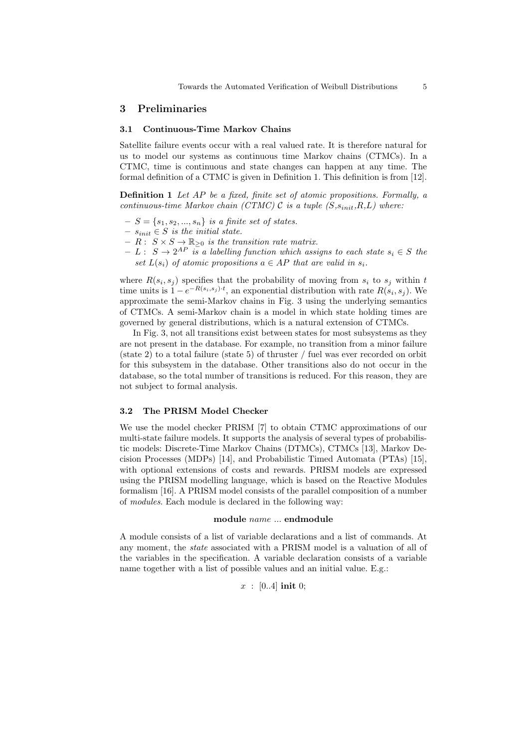#### 3 Preliminaries

#### 3.1 Continuous-Time Markov Chains

Satellite failure events occur with a real valued rate. It is therefore natural for us to model our systems as continuous time Markov chains (CTMCs). In a CTMC, time is continuous and state changes can happen at any time. The formal definition of a CTMC is given in Definition 1. This definition is from [12].

Definition 1 Let AP be a fixed, finite set of atomic propositions. Formally, a continuous-time Markov chain (CTMC)  $\mathcal C$  is a tuple  $(S,s_{init},R,L)$  where:

- $-S = \{s_1, s_2, ..., s_n\}$  is a finite set of states.
- $s_{init} \in S$  is the initial state.
- $R: S \times S \to \mathbb{R}_{\geq 0}$  is the transition rate matrix.
- $L:\; S \rightarrow 2^{AP}$  is a labelling function which assigns to each state  $s_i \in S$  the set  $L(s_i)$  of atomic propositions  $a \in AP$  that are valid in  $s_i$ .

where  $R(s_i, s_j)$  specifies that the probability of moving from  $s_i$  to  $s_j$  within t time units is  $1 - e^{-R(s_i, s_j) \cdot t}$ , an exponential distribution with rate  $R(s_i, s_j)$ . We approximate the semi-Markov chains in Fig. 3 using the underlying semantics of CTMCs. A semi-Markov chain is a model in which state holding times are governed by general distributions, which is a natural extension of CTMCs.

In Fig. 3, not all transitions exist between states for most subsystems as they are not present in the database. For example, no transition from a minor failure (state 2) to a total failure (state 5) of thruster / fuel was ever recorded on orbit for this subsystem in the database. Other transitions also do not occur in the database, so the total number of transitions is reduced. For this reason, they are not subject to formal analysis.

## 3.2 The PRISM Model Checker

We use the model checker PRISM [7] to obtain CTMC approximations of our multi-state failure models. It supports the analysis of several types of probabilistic models: Discrete-Time Markov Chains (DTMCs), CTMCs [13], Markov Decision Processes (MDPs) [14], and Probabilistic Timed Automata (PTAs) [15], with optional extensions of costs and rewards. PRISM models are expressed using the PRISM modelling language, which is based on the Reactive Modules formalism [16]. A PRISM model consists of the parallel composition of a number of modules. Each module is declared in the following way:

#### module name ... endmodule

A module consists of a list of variable declarations and a list of commands. At any moment, the state associated with a PRISM model is a valuation of all of the variables in the specification. A variable declaration consists of a variable name together with a list of possible values and an initial value. E.g.:

 $x : [0.4] \text{ init } 0;$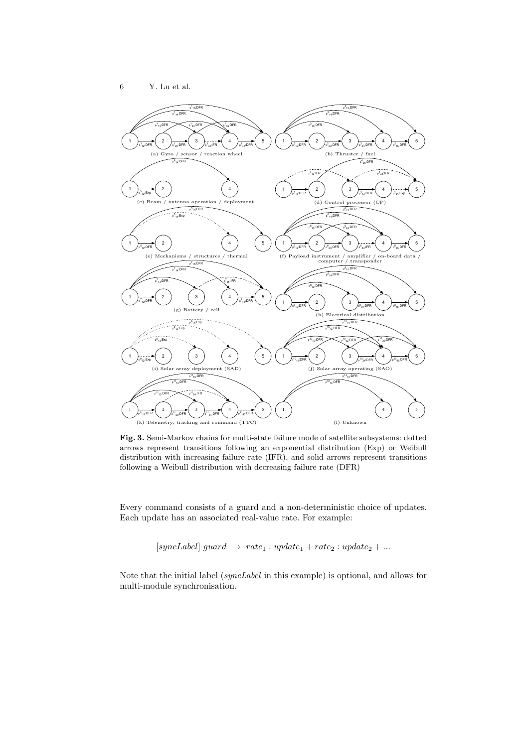

Fig. 3. Semi-Markov chains for multi-state failure mode of satellite subsystems: dotted arrows represent transitions following an exponential distribution (Exp) or Weibull distribution with increasing failure rate (IFR), and solid arrows represent transitions following a Weibull distribution with decreasing failure rate (DFR)

Every command consists of a guard and a non-deterministic choice of updates. Each update has an associated real-value rate. For example:

 $[syncLabel] guard \rightarrow rate_1 : update_1 + rate_2 : update_2 + ...$ 

Note that the initial label (syncLabel in this example) is optional, and allows for multi-module synchronisation.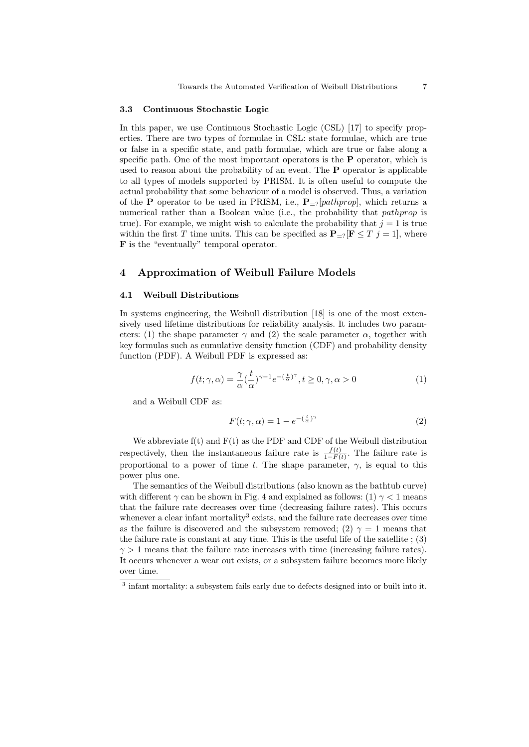#### 3.3 Continuous Stochastic Logic

In this paper, we use Continuous Stochastic Logic (CSL) [17] to specify properties. There are two types of formulae in CSL: state formulae, which are true or false in a specific state, and path formulae, which are true or false along a specific path. One of the most important operators is the  $P$  operator, which is used to reason about the probability of an event. The  $P$  operator is applicable to all types of models supported by PRISM. It is often useful to compute the actual probability that some behaviour of a model is observed. Thus, a variation of the **P** operator to be used in PRISM, i.e.,  $P_{=?}[pathprop]$ , which returns a numerical rather than a Boolean value (i.e., the probability that *pathprop* is true). For example, we might wish to calculate the probability that  $j = 1$  is true within the first T time units. This can be specified as  $P_{=?}[F \le T j = 1]$ , where F is the "eventually" temporal operator.

## 4 Approximation of Weibull Failure Models

#### 4.1 Weibull Distributions

In systems engineering, the Weibull distribution [18] is one of the most extensively used lifetime distributions for reliability analysis. It includes two parameters: (1) the shape parameter  $\gamma$  and (2) the scale parameter  $\alpha$ , together with key formulas such as cumulative density function (CDF) and probability density function (PDF). A Weibull PDF is expressed as:

$$
f(t; \gamma, \alpha) = \frac{\gamma}{\alpha} \left(\frac{t}{\alpha}\right)^{\gamma - 1} e^{-\left(\frac{t}{\alpha}\right)^{\gamma}}, t \ge 0, \gamma, \alpha > 0
$$
 (1)

and a Weibull CDF as:

$$
F(t; \gamma, \alpha) = 1 - e^{-(\frac{t}{\alpha})^{\gamma}}
$$
 (2)

We abbreviate  $f(t)$  and  $F(t)$  as the PDF and CDF of the Weibull distribution respectively, then the instantaneous failure rate is  $\frac{f(t)}{1-F(t)}$ . The failure rate is proportional to a power of time t. The shape parameter,  $\gamma$ , is equal to this power plus one.

The semantics of the Weibull distributions (also known as the bathtub curve) with different  $\gamma$  can be shown in Fig. 4 and explained as follows: (1)  $\gamma$  < 1 means that the failure rate decreases over time (decreasing failure rates). This occurs whenever a clear infant mortality<sup>3</sup> exists, and the failure rate decreases over time as the failure is discovered and the subsystem removed; (2)  $\gamma = 1$  means that the failure rate is constant at any time. This is the useful life of the satellite ; (3)  $\gamma > 1$  means that the failure rate increases with time (increasing failure rates). It occurs whenever a wear out exists, or a subsystem failure becomes more likely over time.

<sup>&</sup>lt;sup>3</sup> infant mortality: a subsystem fails early due to defects designed into or built into it.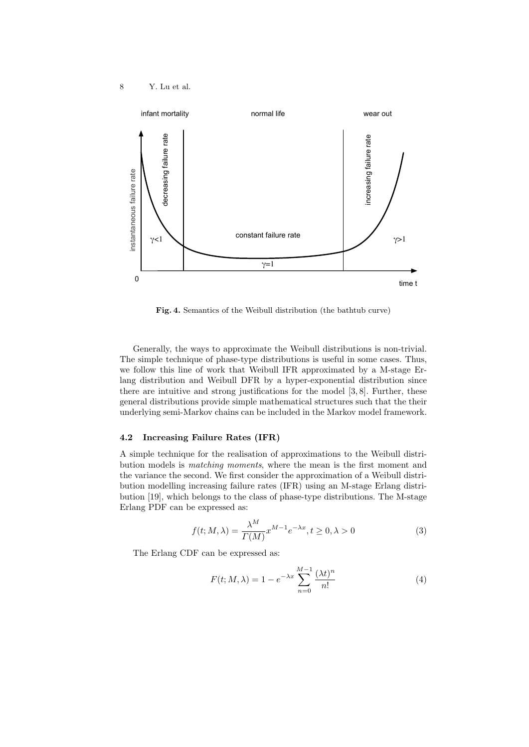

Fig. 4. Semantics of the Weibull distribution (the bathtub curve)

Generally, the ways to approximate the Weibull distributions is non-trivial. The simple technique of phase-type distributions is useful in some cases. Thus, we follow this line of work that Weibull IFR approximated by a M-stage Erlang distribution and Weibull DFR by a hyper-exponential distribution since there are intuitive and strong justifications for the model [3, 8]. Further, these general distributions provide simple mathematical structures such that the their underlying semi-Markov chains can be included in the Markov model framework.

#### 4.2 Increasing Failure Rates (IFR)

A simple technique for the realisation of approximations to the Weibull distribution models is matching moments, where the mean is the first moment and the variance the second. We first consider the approximation of a Weibull distribution modelling increasing failure rates (IFR) using an M-stage Erlang distribution [19], which belongs to the class of phase-type distributions. The M-stage Erlang PDF can be expressed as:

$$
f(t;M,\lambda) = \frac{\lambda^M}{\Gamma(M)} x^{M-1} e^{-\lambda x}, t \ge 0, \lambda > 0
$$
\n(3)

The Erlang CDF can be expressed as:

$$
F(t; M, \lambda) = 1 - e^{-\lambda x} \sum_{n=0}^{M-1} \frac{(\lambda t)^n}{n!}
$$
 (4)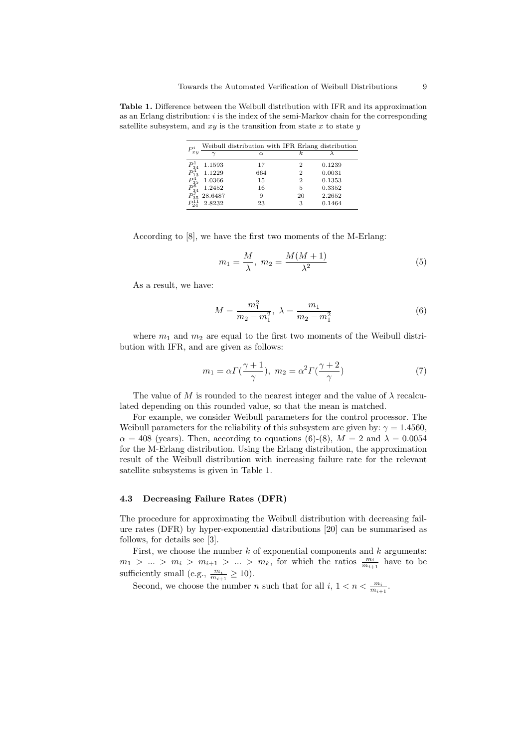Table 1. Difference between the Weibull distribution with IFR and its approximation as an Erlang distribution:  $i$  is the index of the semi-Markov chain for the corresponding satellite subsystem, and  $xy$  is the transition from state x to state y

| $x_1$                                                |                                                           | Weibull distribution with IFR Erlang distribution<br>$\alpha$ | k.                                  |                                                          |
|------------------------------------------------------|-----------------------------------------------------------|---------------------------------------------------------------|-------------------------------------|----------------------------------------------------------|
| $P_{34}^4$<br>$P_{13}^4$<br>$r_{35}^2$<br>$P_{34}^6$ | 1.1593<br>1.1229<br>1.0366<br>1.2452<br>28.6487<br>2.8232 | 17<br>664<br>15<br>16<br>9<br>23                              | 2<br>$\overline{2}$<br>5<br>20<br>3 | 0.1239<br>0.0031<br>0.1353<br>0.3352<br>2.2652<br>0.1464 |

According to [8], we have the first two moments of the M-Erlang:

$$
m_1 = \frac{M}{\lambda}, \ m_2 = \frac{M(M+1)}{\lambda^2} \tag{5}
$$

As a result, we have:

$$
M = \frac{m_1^2}{m_2 - m_1^2}, \ \lambda = \frac{m_1}{m_2 - m_1^2} \tag{6}
$$

where  $m_1$  and  $m_2$  are equal to the first two moments of the Weibull distribution with IFR, and are given as follows:

$$
m_1 = \alpha \Gamma(\frac{\gamma + 1}{\gamma}), \ m_2 = \alpha^2 \Gamma(\frac{\gamma + 2}{\gamma})
$$
\n<sup>(7)</sup>

The value of M is rounded to the nearest integer and the value of  $\lambda$  recalculated depending on this rounded value, so that the mean is matched.

For example, we consider Weibull parameters for the control processor. The Weibull parameters for the reliability of this subsystem are given by:  $\gamma = 1.4560$ ,  $\alpha = 408$  (years). Then, according to equations (6)-(8),  $M = 2$  and  $\lambda = 0.0054$ for the M-Erlang distribution. Using the Erlang distribution, the approximation result of the Weibull distribution with increasing failure rate for the relevant satellite subsystems is given in Table 1.

## 4.3 Decreasing Failure Rates (DFR)

The procedure for approximating the Weibull distribution with decreasing failure rates (DFR) by hyper-exponential distributions [20] can be summarised as follows, for details see [3].

First, we choose the number  $k$  of exponential components and  $k$  arguments:  $m_1 > ... > m_i > m_{i+1} > ... > m_k$ , for which the ratios  $\frac{m_i}{m_{i+1}}$  have to be sufficiently small (e.g.,  $\frac{m_i}{m_{i+1}} \geq 10$ ).

Second, we choose the number *n* such that for all  $i, 1 < n < \frac{m_i}{m_{i+1}}$ .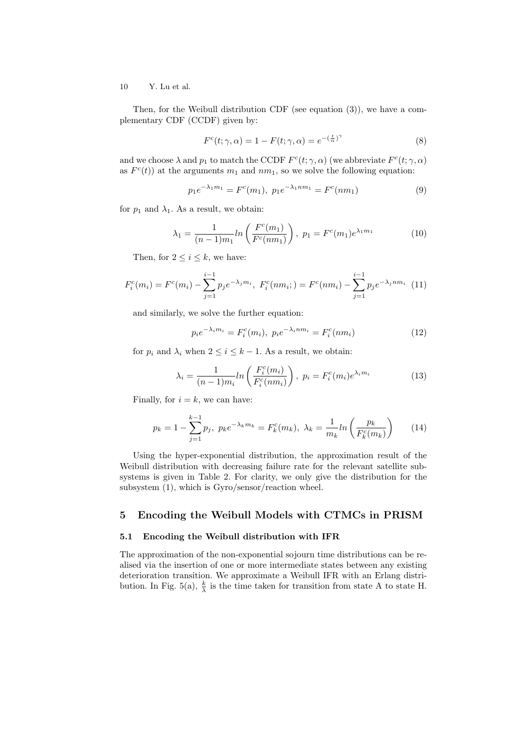Then, for the Weibull distribution CDF (see equation (3)), we have a complementary CDF (CCDF) given by:

$$
F^{c}(t; \gamma, \alpha) = 1 - F(t; \gamma, \alpha) = e^{-\left(\frac{t}{\alpha}\right)^{\gamma}}
$$
\n(8)

and we choose  $\lambda$  and  $p_1$  to match the CCDF  $F^c(t; \gamma, \alpha)$  (we abbreviate  $F^c(t; \gamma, \alpha)$ ) as  $F^{c}(t)$  at the arguments  $m_1$  and  $nm_1$ , so we solve the following equation:

$$
p_1 e^{-\lambda_1 m_1} = F^c(m_1), \ p_1 e^{-\lambda_1 n m_1} = F^c(n m_1)
$$
\n(9)

for  $p_1$  and  $\lambda_1$ . As a result, we obtain:

$$
\lambda_1 = \frac{1}{(n-1)m_1} ln\left(\frac{F^c(m_1)}{F^c(m_1)}\right), \ p_1 = F^c(m_1) e^{\lambda_1 m_1} \tag{10}
$$

Then, for  $2 \leq i \leq k$ , we have:

$$
F_i^c(m_i) = F^c(m_i) - \sum_{j=1}^{i-1} p_j e^{-\lambda_j m_i}, \ F_i^c(nm_i) = F^c(nm_i) - \sum_{j=1}^{i-1} p_j e^{-\lambda_j n m_i} \tag{11}
$$

and similarly, we solve the further equation:

$$
p_i e^{-\lambda_i m_i} = F_i^c(m_i), \ p_i e^{-\lambda_i n m_i} = F_i^c(n m_i)
$$
 (12)

for  $p_i$  and  $\lambda_i$  when  $2 \leq i \leq k-1$ . As a result, we obtain:

$$
\lambda_i = \frac{1}{(n-1)m_i} ln\left(\frac{F_i^c(m_i)}{F_i^c(nm_i)}\right), \ p_i = F_i^c(m_i) e^{\lambda_i m_i}
$$
 (13)

Finally, for  $i = k$ , we can have:

$$
p_k = 1 - \sum_{j=1}^{k-1} p_j, \ p_k e^{-\lambda_k m_k} = F_k^c(m_k), \ \lambda_k = \frac{1}{m_k} ln\left(\frac{p_k}{F_k^c(m_k)}\right) \tag{14}
$$

Using the hyper-exponential distribution, the approximation result of the Weibull distribution with decreasing failure rate for the relevant satellite subsystems is given in Table 2. For clarity, we only give the distribution for the subsystem (1), which is Gyro/sensor/reaction wheel.

## 5 Encoding the Weibull Models with CTMCs in PRISM

#### 5.1 Encoding the Weibull distribution with IFR

The approximation of the non-exponential sojourn time distributions can be realised via the insertion of one or more intermediate states between any existing deterioration transition. We approximate a Weibull IFR with an Erlang distribution. In Fig. 5(a),  $\frac{k}{\lambda}$  is the time taken for transition from state A to state H.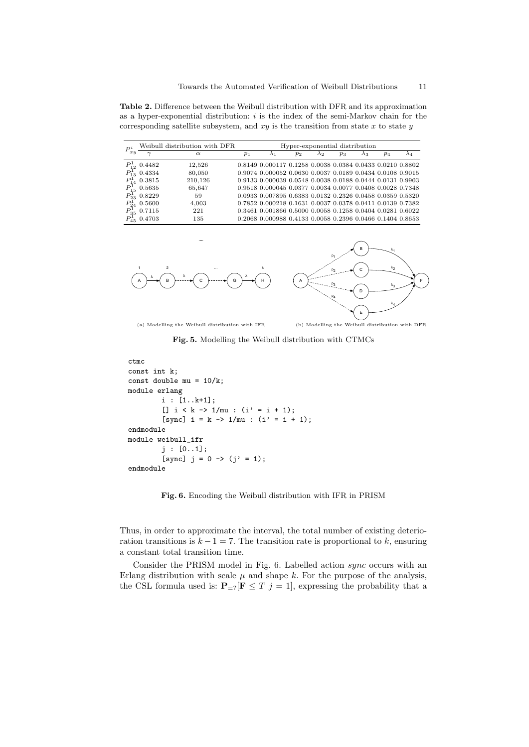Table 2. Difference between the Weibull distribution with DFR and its approximation as a hyper-exponential distribution:  $i$  is the index of the semi-Markov chain for the corresponding satellite subsystem, and  $xy$  is the transition from state  $x$  to state  $y$ 

| $P^i$                                                                    | Weibull distribution with DFR |          | Hyper-exponential distribution |                                                           |       |             |       |             |       |             |
|--------------------------------------------------------------------------|-------------------------------|----------|--------------------------------|-----------------------------------------------------------|-------|-------------|-------|-------------|-------|-------------|
| x y                                                                      | $\sim$                        | $\alpha$ | $p_1$                          | $\lambda_1$                                               | $p_2$ | $\lambda_2$ | $p_3$ | $\lambda_3$ | $p_4$ | $\lambda_4$ |
|                                                                          | $P_{12}^1$ 0.4482             | 12,526   |                                | 0.8149 0.000117 0.1258 0.0038 0.0384 0.0433 0.0210 0.8802 |       |             |       |             |       |             |
|                                                                          | $P_{13}^1$ 0.4334             | 80,050   |                                | 0.9074 0.000052 0.0630 0.0037 0.0189 0.0434 0.0108 0.9015 |       |             |       |             |       |             |
|                                                                          | $P_{14}^1$ 0.3815             | 210,126  |                                | 0.9133 0.000039 0.0548 0.0038 0.0188 0.0444 0.0131 0.9903 |       |             |       |             |       |             |
|                                                                          | $P_{15}^1$ 0.5635             | 65,647   |                                | 0.9518 0.000045 0.0377 0.0034 0.0077 0.0408 0.0028 0.7348 |       |             |       |             |       |             |
|                                                                          | 0.8229                        | 59       |                                | 0.0933 0.007895 0.6383 0.0132 0.2326 0.0458 0.0359 0.5320 |       |             |       |             |       |             |
|                                                                          | 0.5600                        | 4,003    |                                | 0.7852 0.000218 0.1631 0.0037 0.0378 0.0411 0.0139 0.7382 |       |             |       |             |       |             |
|                                                                          | 0.7115                        | 221      |                                | 0.3461 0.001866 0.5000 0.0058 0.1258 0.0404 0.0281 0.6022 |       |             |       |             |       |             |
| $\begin{array}{c} P_{23}^1 \ P_{24}^1 \ P_{35}^1 \ P_{45}^1 \end{array}$ | 0.4703                        | 135      |                                | 0.2068 0.000988 0.4133 0.0058 0.2396 0.0466 0.1404 0.8653 |       |             |       |             |       |             |



B (a) Modelling the Weibull distribution with IFR

Fig. 5. Modelling the Weibull distribution with CTMCs

```
ctmc
const int k;
const double mu = 10/k;
module erlang
         i : [1..k+1];
          [] i < k \rightarrow 1/\text{mu} : (i' = i + 1);[sync] i = k \rightarrow 1/\text{mu} : (i' = i + 1);
endmodule
module weibull_ifr
          j : [0..1];
          [sync] j = 0 \rightarrow (j' = 1);endmodule
```
Fig. 6. Encoding the Weibull distribution with IFR in PRISM

Thus, in order to approximate the interval, the total number of existing deterioration transitions is  $k - 1 = 7$ . The transition rate is proportional to k, ensuring a constant total transition time.

Consider the PRISM model in Fig. 6. Labelled action sync occurs with an Erlang distribution with scale  $\mu$  and shape k. For the purpose of the analysis, the CSL formula used is:  $P_{=?}[F \leq T \, j = 1]$ , expressing the probability that a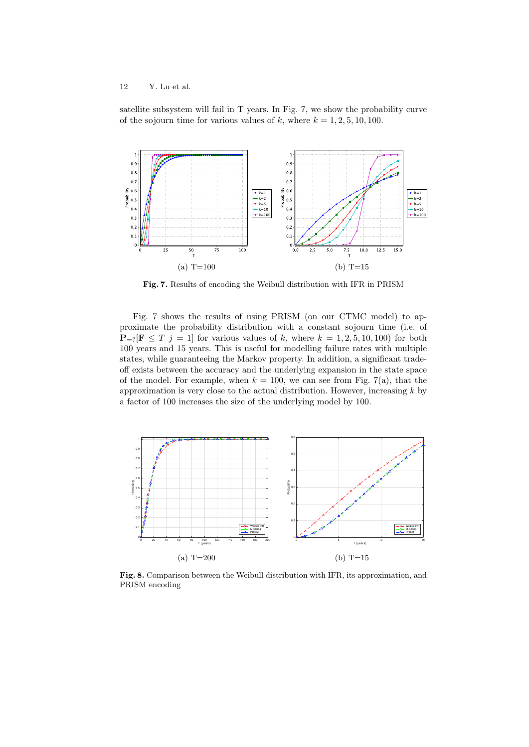satellite subsystem will fail in T years. In Fig. 7, we show the probability curve of the sojourn time for various values of k, where  $k = 1, 2, 5, 10, 100$ .



Fig. 7. Results of encoding the Weibull distribution with IFR in PRISM

Fig. 7 shows the results of using PRISM (on our CTMC model) to approximate the probability distribution with a constant sojourn time (i.e. of  $\mathbf{P}_{=?}[\mathbf{F} \leq T \; j = 1]$  for various values of k, where  $k = 1, 2, 5, 10, 100$  for both 100 years and 15 years. This is useful for modelling failure rates with multiple states, while guaranteeing the Markov property. In addition, a significant tradeoff exists between the accuracy and the underlying expansion in the state space of the model. For example, when  $k = 100$ , we can see from Fig. 7(a), that the approximation is very close to the actual distribution. However, increasing  $k$  by a factor of 100 increases the size of the underlying model by 100.



Fig. 8. Comparison between the Weibull distribution with IFR, its approximation, and PRISM encoding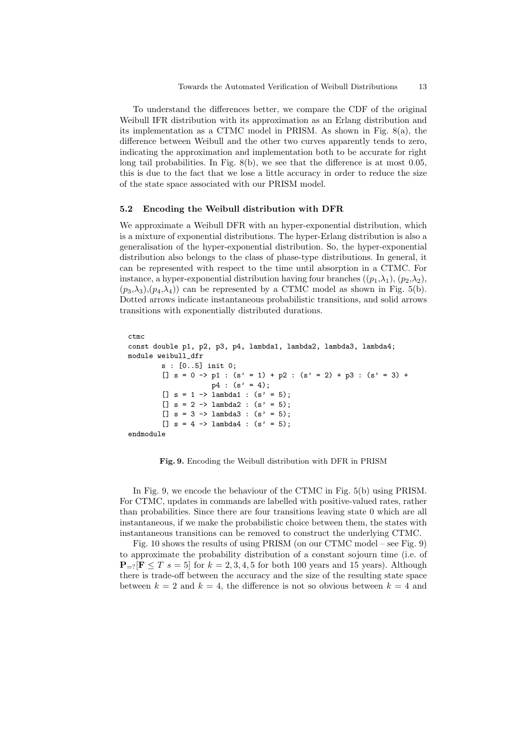To understand the differences better, we compare the CDF of the original Weibull IFR distribution with its approximation as an Erlang distribution and its implementation as a CTMC model in PRISM. As shown in Fig. 8(a), the difference between Weibull and the other two curves apparently tends to zero, indicating the approximation and implementation both to be accurate for right long tail probabilities. In Fig. 8(b), we see that the difference is at most 0.05, this is due to the fact that we lose a little accuracy in order to reduce the size of the state space associated with our PRISM model.

#### 5.2 Encoding the Weibull distribution with DFR

We approximate a Weibull DFR with an hyper-exponential distribution, which is a mixture of exponential distributions. The hyper-Erlang distribution is also a generalisation of the hyper-exponential distribution. So, the hyper-exponential distribution also belongs to the class of phase-type distributions. In general, it can be represented with respect to the time until absorption in a CTMC. For instance, a hyper-exponential distribution having four branches  $((p_1,\lambda_1), (p_2,\lambda_2),$  $(p_3,\lambda_3),(p_4,\lambda_4)$  can be represented by a CTMC model as shown in Fig. 5(b). Dotted arrows indicate instantaneous probabilistic transitions, and solid arrows transitions with exponentially distributed durations.

```
ctmc
const double p1, p2, p3, p4, lambda1, lambda2, lambda3, lambda4;
module weibull_dfr
         s : [0..5] init 0;
          \begin{bmatrix} \ \end{bmatrix} s = 0 -> p1 : (s' = 1) + p2 : (s' = 2) + p3 : (s' = 3) +
                       p4 : (s' = 4);[] s = 1 \rightarrow lambda1 : (s' = 5);
          [] s = 2 \rightarrow lambda2 : (s' = 5);
          [] s = 3 \rightarrow lambda3 : (s' = 5);
          [] s = 4 -> lambda4 : (s' = 5);
endmodule
```
#### Fig. 9. Encoding the Weibull distribution with DFR in PRISM

In Fig. 9, we encode the behaviour of the CTMC in Fig. 5(b) using PRISM. For CTMC, updates in commands are labelled with positive-valued rates, rather than probabilities. Since there are four transitions leaving state 0 which are all instantaneous, if we make the probabilistic choice between them, the states with instantaneous transitions can be removed to construct the underlying CTMC.

Fig. 10 shows the results of using PRISM (on our CTMC model – see Fig. 9) to approximate the probability distribution of a constant sojourn time (i.e. of  $\mathbf{P}_{=?}[\mathbf{F} \leq T \ s = 5]$  for  $k = 2, 3, 4, 5$  for both 100 years and 15 years). Although there is trade-off between the accuracy and the size of the resulting state space between  $k = 2$  and  $k = 4$ , the difference is not so obvious between  $k = 4$  and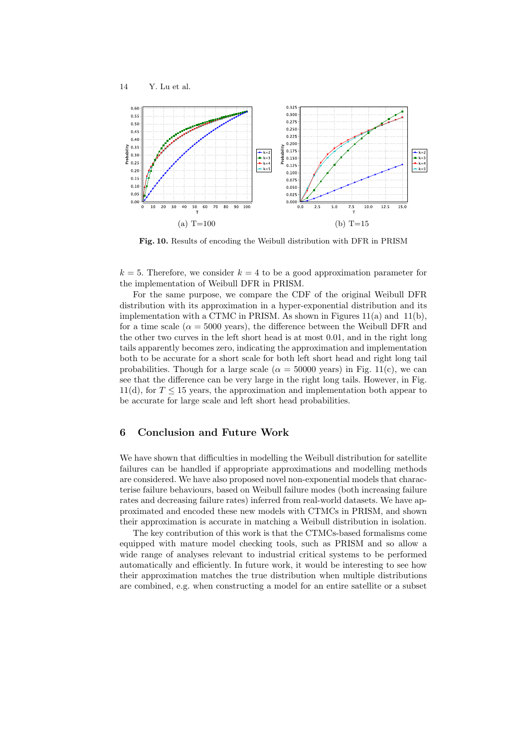



Fig. 10. Results of encoding the Weibull distribution with DFR in PRISM

 $k = 5$ . Therefore, we consider  $k = 4$  to be a good approximation parameter for the implementation of Weibull DFR in PRISM.

For the same purpose, we compare the CDF of the original Weibull DFR distribution with its approximation in a hyper-exponential distribution and its implementation with a CTMC in PRISM. As shown in Figures  $11(a)$  and  $11(b)$ , for a time scale ( $\alpha = 5000$  years), the difference between the Weibull DFR and the other two curves in the left short head is at most 0.01, and in the right long tails apparently becomes zero, indicating the approximation and implementation both to be accurate for a short scale for both left short head and right long tail probabilities. Though for a large scale ( $\alpha = 50000$  years) in Fig. 11(c), we can see that the difference can be very large in the right long tails. However, in Fig. 11(d), for  $T \le 15$  years, the approximation and implementation both appear to be accurate for large scale and left short head probabilities.

## 6 Conclusion and Future Work

We have shown that difficulties in modelling the Weibull distribution for satellite failures can be handled if appropriate approximations and modelling methods are considered. We have also proposed novel non-exponential models that characterise failure behaviours, based on Weibull failure modes (both increasing failure rates and decreasing failure rates) inferred from real-world datasets. We have approximated and encoded these new models with CTMCs in PRISM, and shown their approximation is accurate in matching a Weibull distribution in isolation.

The key contribution of this work is that the CTMCs-based formalisms come equipped with mature model checking tools, such as PRISM and so allow a wide range of analyses relevant to industrial critical systems to be performed automatically and efficiently. In future work, it would be interesting to see how their approximation matches the true distribution when multiple distributions are combined, e.g. when constructing a model for an entire satellite or a subset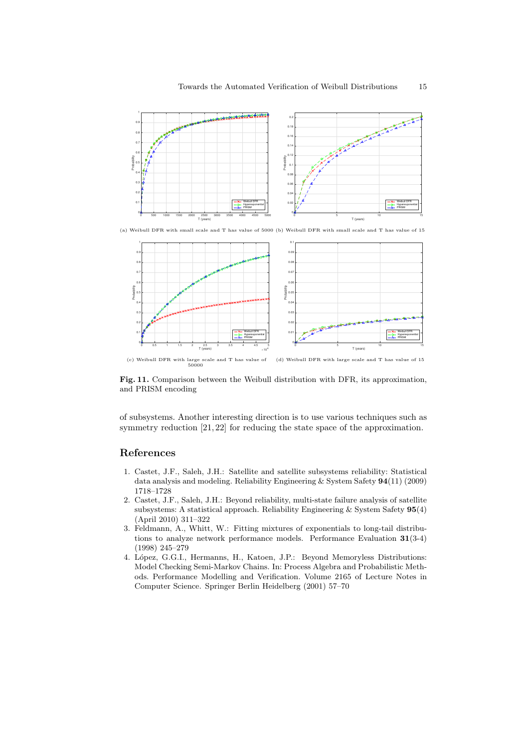

(a) Weibull DFR with small scale and T has value of 5000 (b) Weibull DFR with small scale and T has value of 15



(c) Weibull DFR with large scale and T has value of 50000

Fig. 11. Comparison between the Weibull distribution with DFR, its approximation, and PRISM encoding

of subsystems. Another interesting direction is to use various techniques such as symmetry reduction [21, 22] for reducing the state space of the approximation.

## References

- 1. Castet, J.F., Saleh, J.H.: Satellite and satellite subsystems reliability: Statistical data analysis and modeling. Reliability Engineering & System Safety 94(11) (2009) 1718–1728
- 2. Castet, J.F., Saleh, J.H.: Beyond reliability, multi-state failure analysis of satellite subsystems: A statistical approach. Reliability Engineering  $\&$  System Safety  $95(4)$ (April 2010) 311–322
- 3. Feldmann, A., Whitt, W.: Fitting mixtures of exponentials to long-tail distributions to analyze network performance models. Performance Evaluation 31(3-4) (1998) 245–279
- 4. López, G.G.I., Hermanns, H., Katoen, J.P.: Beyond Memoryless Distributions: Model Checking Semi-Markov Chains. In: Process Algebra and Probabilistic Methods. Performance Modelling and Verification. Volume 2165 of Lecture Notes in Computer Science. Springer Berlin Heidelberg (2001) 57–70